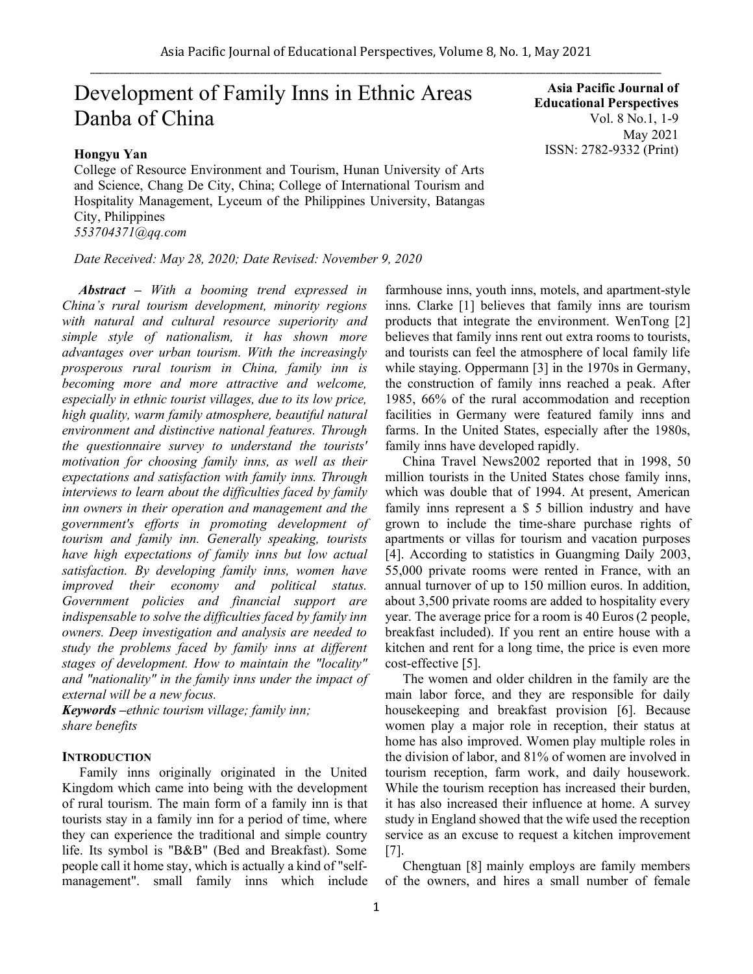# Development of Family Inns in Ethnic Areas Danba of China

## **Hongyu Yan**

College of Resource Environment and Tourism, Hunan University of Arts and Science, Chang De City, China; College of International Tourism and Hospitality Management, Lyceum of the Philippines University, Batangas City, Philippines *553704371@qq.com*

*Date Received: May 28, 2020; Date Revised: November 9, 2020*

*Abstract – With a booming trend expressed in China's rural tourism development, minority regions with natural and cultural resource superiority and simple style of nationalism, it has shown more advantages over urban tourism. With the increasingly prosperous rural tourism in China, family inn is becoming more and more attractive and welcome, especially in ethnic tourist villages, due to its low price, high quality, warm family atmosphere, beautiful natural environment and distinctive national features. Through the questionnaire survey to understand the tourists' motivation for choosing family inns, as well as their expectations and satisfaction with family inns. Through interviews to learn about the difficulties faced by family inn owners in their operation and management and the government's efforts in promoting development of tourism and family inn. Generally speaking, tourists have high expectations of family inns but low actual satisfaction. By developing family inns, women have improved their economy and political status. Government policies and financial support are indispensable to solve the difficulties faced by family inn owners. Deep investigation and analysis are needed to study the problems faced by family inns at different stages of development. How to maintain the "locality" and "nationality" in the family inns under the impact of external will be a new focus.*

*Keywords –ethnic tourism village; family inn; share benefits*

# **INTRODUCTION**

Family inns originally originated in the United Kingdom which came into being with the development of rural tourism. The main form of a family inn is that tourists stay in a family inn for a period of time, where they can experience the traditional and simple country life. Its symbol is "B&B" (Bed and Breakfast). Some people call it home stay, which is actually a kind of "selfmanagement". small family inns which include

**Asia Pacific Journal of Educational Perspectives**  Vol. 8 No.1, 1-9 May 2021 ISSN: 2782-9332 (Print)

farmhouse inns, youth inns, motels, and apartment-style inns. Clarke [1] believes that family inns are tourism products that integrate the environment. WenTong [2] believes that family inns rent out extra rooms to tourists, and tourists can feel the atmosphere of local family life while staying. Oppermann [3] in the 1970s in Germany, the construction of family inns reached a peak. After 1985, 66% of the rural accommodation and reception facilities in Germany were featured family inns and farms. In the United States, especially after the 1980s, family inns have developed rapidly.

China Travel News2002 reported that in 1998, 50 million tourists in the United States chose family inns, which was double that of 1994. At present, American family inns represent a \$ 5 billion industry and have grown to include the time-share purchase rights of apartments or villas for tourism and vacation purposes [4]. According to statistics in Guangming Daily 2003, 55,000 private rooms were rented in France, with an annual turnover of up to 150 million euros. In addition, about 3,500 private rooms are added to hospitality every year. The average price for a room is 40 Euros (2 people, breakfast included). If you rent an entire house with a kitchen and rent for a long time, the price is even more cost-effective [5].

The women and older children in the family are the main labor force, and they are responsible for daily housekeeping and breakfast provision [6]. Because women play a major role in reception, their status at home has also improved. Women play multiple roles in the division of labor, and 81% of women are involved in tourism reception, farm work, and daily housework. While the tourism reception has increased their burden, it has also increased their influence at home. A survey study in England showed that the wife used the reception service as an excuse to request a kitchen improvement [7].

Chengtuan [8] mainly employs are family members of the owners, and hires a small number of female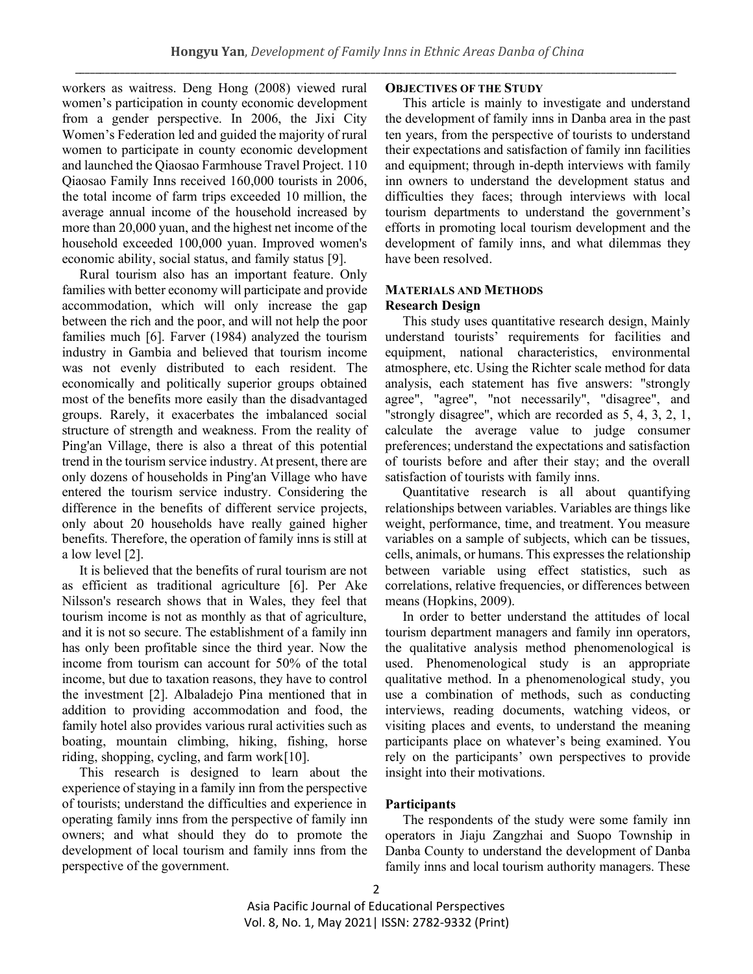workers as waitress. Deng Hong (2008) viewed rural women's participation in county economic development from a gender perspective. In 2006, the Jixi City Women's Federation led and guided the majority of rural women to participate in county economic development and launched the Qiaosao Farmhouse Travel Project. 110 Qiaosao Family Inns received 160,000 tourists in 2006, the total income of farm trips exceeded 10 million, the average annual income of the household increased by more than 20,000 yuan, and the highest net income of the household exceeded 100,000 yuan. Improved women's economic ability, social status, and family status [9].

Rural tourism also has an important feature. Only families with better economy will participate and provide accommodation, which will only increase the gap between the rich and the poor, and will not help the poor families much [6]. Farver (1984) analyzed the tourism industry in Gambia and believed that tourism income was not evenly distributed to each resident. The economically and politically superior groups obtained most of the benefits more easily than the disadvantaged groups. Rarely, it exacerbates the imbalanced social structure of strength and weakness. From the reality of Ping'an Village, there is also a threat of this potential trend in the tourism service industry. At present, there are only dozens of households in Ping'an Village who have entered the tourism service industry. Considering the difference in the benefits of different service projects, only about 20 households have really gained higher benefits. Therefore, the operation of family inns is still at a low level [2].

It is believed that the benefits of rural tourism are not as efficient as traditional agriculture [6]. Per Ake Nilsson's research shows that in Wales, they feel that tourism income is not as monthly as that of agriculture, and it is not so secure. The establishment of a family inn has only been profitable since the third year. Now the income from tourism can account for 50% of the total income, but due to taxation reasons, they have to control the investment [2]. Albaladejo Pina mentioned that in addition to providing accommodation and food, the family hotel also provides various rural activities such as boating, mountain climbing, hiking, fishing, horse riding, shopping, cycling, and farm work[10].

This research is designed to learn about the experience of staying in a family inn from the perspective of tourists; understand the difficulties and experience in operating family inns from the perspective of family inn owners; and what should they do to promote the development of local tourism and family inns from the perspective of the government.

# **OBJECTIVES OF THE STUDY**

This article is mainly to investigate and understand the development of family inns in Danba area in the past ten years, from the perspective of tourists to understand their expectations and satisfaction of family inn facilities and equipment; through in-depth interviews with family inn owners to understand the development status and difficulties they faces; through interviews with local tourism departments to understand the government's efforts in promoting local tourism development and the development of family inns, and what dilemmas they have been resolved.

# **MATERIALS AND METHODS Research Design**

This study uses quantitative research design, Mainly understand tourists' requirements for facilities and equipment, national characteristics, environmental atmosphere, etc. Using the Richter scale method for data analysis, each statement has five answers: "strongly agree", "agree", "not necessarily", "disagree", and "strongly disagree", which are recorded as 5, 4, 3, 2, 1, calculate the average value to judge consumer preferences; understand the expectations and satisfaction of tourists before and after their stay; and the overall satisfaction of tourists with family inns.

Quantitative research is all about quantifying relationships between variables. Variables are things like weight, performance, time, and treatment. You measure variables on a sample of subjects, which can be tissues, cells, animals, or humans. This expresses the relationship between variable using effect statistics, such as correlations, relative frequencies, or differences between means (Hopkins, 2009).

In order to better understand the attitudes of local tourism department managers and family inn operators, the qualitative analysis method phenomenological is used. Phenomenological study is an appropriate qualitative method. In a phenomenological study, you use a combination of methods, such as conducting interviews, reading documents, watching videos, or visiting places and events, to understand the meaning participants place on whatever's being examined. You rely on the participants' own perspectives to provide insight into their motivations.

# **Participants**

The respondents of the study were some family inn operators in Jiaju Zangzhai and Suopo Township in Danba County to understand the development of Danba family inns and local tourism authority managers. These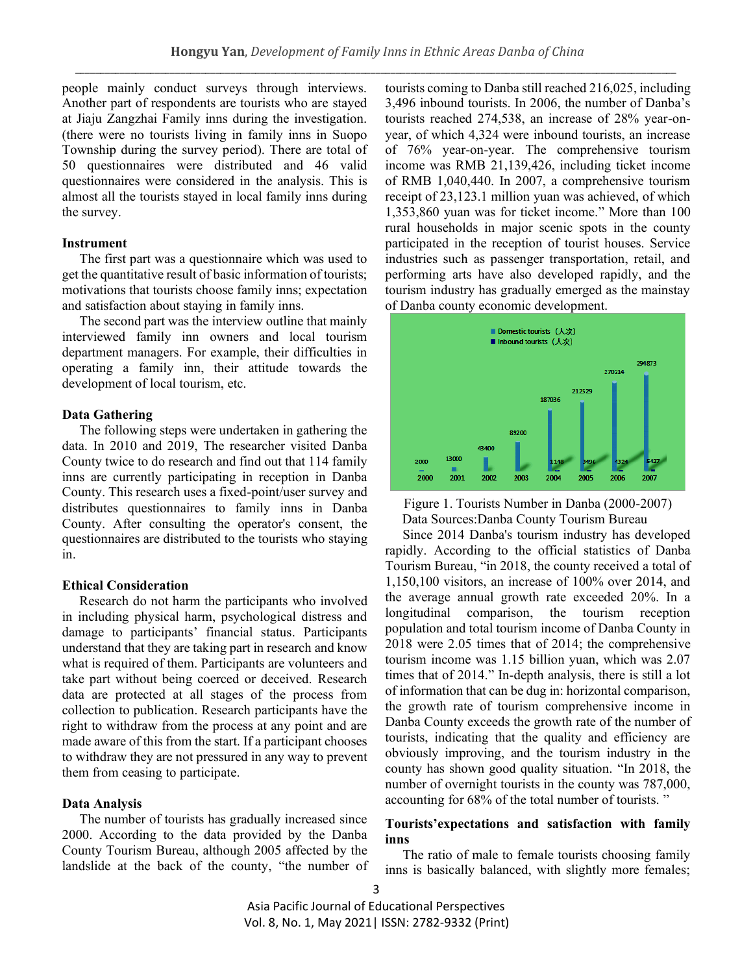people mainly conduct surveys through interviews. Another part of respondents are tourists who are stayed at Jiaju Zangzhai Family inns during the investigation. (there were no tourists living in family inns in Suopo Township during the survey period). There are total of 50 questionnaires were distributed and 46 valid questionnaires were considered in the analysis. This is almost all the tourists stayed in local family inns during the survey.

## **Instrument**

The first part was a questionnaire which was used to get the quantitative result of basic information of tourists; motivations that tourists choose family inns; expectation and satisfaction about staying in family inns.

The second part was the interview outline that mainly interviewed family inn owners and local tourism department managers. For example, their difficulties in operating a family inn, their attitude towards the development of local tourism, etc.

## **Data Gathering**

The following steps were undertaken in gathering the data. In 2010 and 2019, The researcher visited Danba County twice to do research and find out that 114 family inns are currently participating in reception in Danba County. This research uses a fixed-point/user survey and distributes questionnaires to family inns in Danba County. After consulting the operator's consent, the questionnaires are distributed to the tourists who staying in.

#### **Ethical Consideration**

Research do not harm the participants who involved in including physical harm, psychological distress and damage to participants' financial status. Participants understand that they are taking part in research and know what is required of them. Participants are volunteers and take part without being coerced or deceived. Research data are protected at all stages of the process from collection to publication. Research participants have the right to withdraw from the process at any point and are made aware of this from the start. If a participant chooses to withdraw they are not pressured in any way to prevent them from ceasing to participate.

## **Data Analysis**

The number of tourists has gradually increased since 2000. According to the data provided by the Danba County Tourism Bureau, although 2005 affected by the landslide at the back of the county, "the number of tourists coming to Danba still reached 216,025, including 3,496 inbound tourists. In 2006, the number of Danba's tourists reached 274,538, an increase of 28% year-onyear, of which 4,324 were inbound tourists, an increase of 76% year-on-year. The comprehensive tourism income was RMB 21,139,426, including ticket income of RMB 1,040,440. In 2007, a comprehensive tourism receipt of 23,123.1 million yuan was achieved, of which 1,353,860 yuan was for ticket income." More than 100 rural households in major scenic spots in the county participated in the reception of tourist houses. Service industries such as passenger transportation, retail, and performing arts have also developed rapidly, and the tourism industry has gradually emerged as the mainstay of Danba county economic development.



Figure 1. Tourists Number in Danba (2000-2007) Data Sources:Danba County Tourism Bureau

Since 2014 Danba's tourism industry has developed rapidly. According to the official statistics of Danba Tourism Bureau, "in 2018, the county received a total of 1,150,100 visitors, an increase of 100% over 2014, and the average annual growth rate exceeded 20%. In a longitudinal comparison, the tourism reception population and total tourism income of Danba County in 2018 were 2.05 times that of 2014; the comprehensive tourism income was 1.15 billion yuan, which was 2.07 times that of 2014." In-depth analysis, there is still a lot of information that can be dug in: horizontal comparison, the growth rate of tourism comprehensive income in Danba County exceeds the growth rate of the number of tourists, indicating that the quality and efficiency are obviously improving, and the tourism industry in the county has shown good quality situation. "In 2018, the number of overnight tourists in the county was 787,000, accounting for 68% of the total number of tourists. "

# **Tourists'expectations and satisfaction with family inns**

The ratio of male to female tourists choosing family inns is basically balanced, with slightly more females;

3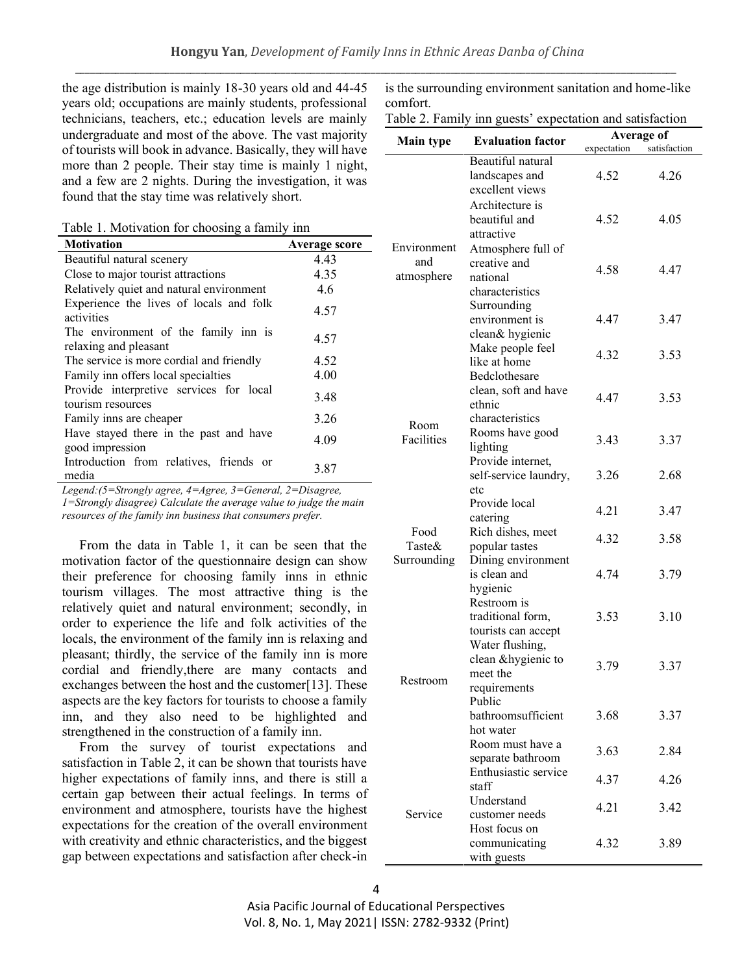the age distribution is mainly 18-30 years old and 44-45 years old; occupations are mainly students, professional technicians, teachers, etc.; education levels are mainly undergraduate and most of the above. The vast majority of tourists will book in advance. Basically, they will have more than 2 people. Their stay time is mainly 1 night, and a few are 2 nights. During the investigation, it was found that the stay time was relatively short.

Table 1. Motivation for choosing a family inn

| <b>Motivation</b>                                             | Average score |
|---------------------------------------------------------------|---------------|
| Beautiful natural scenery                                     | 4.43          |
| Close to major tourist attractions                            | 4.35          |
| Relatively quiet and natural environment                      | 4.6           |
| Experience the lives of locals and folk<br>activities         | 4.57          |
| The environment of the family inn is<br>relaxing and pleasant | 4.57          |
| The service is more cordial and friendly                      | 4.52          |
| Family inn offers local specialties                           | 4.00          |
| Provide interpretive services for local<br>tourism resources  | 3.48          |
| Family inns are cheaper                                       | 3.26          |
| Have stayed there in the past and have<br>good impression     | 4.09          |
| Introduction from relatives, friends or<br>media              | 3.87          |

*Legend:(5=Strongly agree, 4=Agree, 3=General, 2=Disagree, 1=Strongly disagree) Calculate the average value to judge the main resources of the family inn business that consumers prefer.*

From the data in Table 1, it can be seen that the motivation factor of the questionnaire design can show their preference for choosing family inns in ethnic tourism villages. The most attractive thing is the relatively quiet and natural environment; secondly, in order to experience the life and folk activities of the locals, the environment of the family inn is relaxing and pleasant; thirdly, the service of the family inn is more cordial and friendly,there are many contacts and exchanges between the host and the customer[13]. These aspects are the key factors for tourists to choose a family inn, and they also need to be highlighted and strengthened in the construction of a family inn.

From the survey of tourist expectations and satisfaction in Table 2, it can be shown that tourists have higher expectations of family inns, and there is still a certain gap between their actual feelings. In terms of environment and atmosphere, tourists have the highest expectations for the creation of the overall environment with creativity and ethnic characteristics, and the biggest gap between expectations and satisfaction after check-in

is the surrounding environment sanitation and home-like comfort.

|  |  | Table 2. Family inn guests' expectation and satisfaction |  |
|--|--|----------------------------------------------------------|--|
|  |  |                                                          |  |

|                  | $a$ and $a$ . Falling this guests expectation and satisfaction | Average of   |              |
|------------------|----------------------------------------------------------------|--------------|--------------|
| <b>Main type</b> | <b>Evaluation factor</b>                                       | expectation  | satisfaction |
|                  | Beautiful natural                                              |              |              |
|                  | landscapes and                                                 | 4.52         | 4.26         |
|                  | excellent views                                                |              |              |
|                  | Architecture is                                                |              |              |
|                  | beautiful and                                                  | 4.52         | 4.05         |
|                  | attractive                                                     |              |              |
| Environment      | Atmosphere full of                                             |              |              |
| and              | creative and                                                   | 4.58         | 4.47         |
| atmosphere       | national                                                       |              |              |
|                  | characteristics                                                |              |              |
|                  | Surrounding                                                    |              |              |
|                  | environment is                                                 | 4.47         | 3.47         |
|                  | clean& hygienic                                                |              |              |
|                  | Make people feel<br>like at home                               | 4.32         | 3.53         |
|                  | Bedclothesare                                                  |              |              |
|                  | clean, soft and have                                           |              |              |
|                  | ethnic                                                         | 4.47         | 3.53         |
|                  | characteristics                                                |              |              |
| Room             | Rooms have good                                                |              |              |
| Facilities       | lighting                                                       | 3.43         | 3.37         |
|                  | Provide internet,                                              |              |              |
|                  | self-service laundry,                                          | 3.26         | 2.68         |
|                  | etc                                                            |              |              |
|                  | Provide local                                                  |              |              |
|                  | catering                                                       | 4.21         | 3.47         |
| Food             | Rich dishes, meet                                              | 4.32         | 3.58         |
| Taste $\&$       | popular tastes                                                 |              |              |
| Surrounding      | Dining environment                                             |              |              |
|                  | is clean and                                                   | 4.74         | 3.79         |
|                  | hygienic                                                       |              |              |
|                  | Restroom is                                                    |              |              |
|                  | traditional form,                                              | 3.53         | 3.10         |
|                  | tourists can accept                                            |              |              |
|                  | Water flushing,                                                |              |              |
| Restroom         | clean &hygienic to                                             | 3.79         | 3.37         |
|                  | meet the                                                       |              |              |
|                  | requirements<br>Public                                         |              |              |
|                  | bathroomsufficient                                             | 3.68         | 3.37         |
|                  | hot water                                                      |              |              |
|                  | Room must have a                                               |              |              |
|                  | separate bathroom                                              | 3.63         | 2.84         |
| Service          | Enthusiastic service                                           |              |              |
|                  | staff                                                          | 4.37         | 4.26         |
|                  | Understand                                                     |              |              |
|                  | customer needs                                                 | 4.21<br>3.42 |              |
|                  | Host focus on                                                  |              |              |
|                  | communicating                                                  | 4.32         | 3.89         |
|                  | with guests                                                    |              |              |

Asia Pacific Journal of Educational Perspectives Vol. 8, No. 1, May 2021| ISSN: 2782-9332 (Print)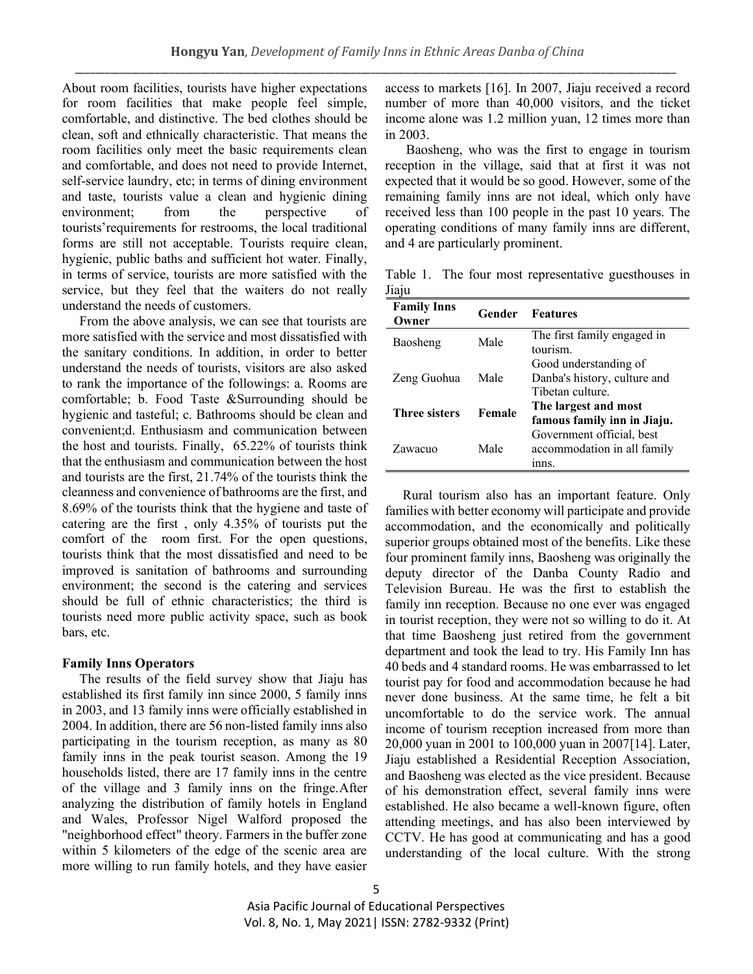About room facilities, tourists have higher expectations for room facilities that make people feel simple, comfortable, and distinctive. The bed clothes should be clean, soft and ethnically characteristic. That means the room facilities only meet the basic requirements clean and comfortable, and does not need to provide Internet, self-service laundry, etc; in terms of dining environment and taste, tourists value a clean and hygienic dining environment; from the perspective of tourists'requirements for restrooms, the local traditional forms are still not acceptable. Tourists require clean, hygienic, public baths and sufficient hot water. Finally, in terms of service, tourists are more satisfied with the service, but they feel that the waiters do not really understand the needs of customers.

From the above analysis, we can see that tourists are more satisfied with the service and most dissatisfied with the sanitary conditions. In addition, in order to better understand the needs of tourists, visitors are also asked to rank the importance of the followings: a. Rooms are comfortable; b. Food Taste &Surrounding should be hygienic and tasteful; c. Bathrooms should be clean and convenient;d. Enthusiasm and communication between the host and tourists. Finally, 65.22% of tourists think that the enthusiasm and communication between the host and tourists are the first, 21.74% of the tourists think the cleanness and convenience of bathrooms are the first, and 8.69% of the tourists think that the hygiene and taste of catering are the first , only 4.35% of tourists put the comfort of the room first. For the open questions, tourists think that the most dissatisfied and need to be improved is sanitation of bathrooms and surrounding environment; the second is the catering and services should be full of ethnic characteristics; the third is tourists need more public activity space, such as book bars, etc.

## **Family Inns Operators**

The results of the field survey show that Jiaju has established its first family inn since 2000, 5 family inns in 2003, and 13 family inns were officially established in 2004. In addition, there are 56 non-listed family inns also participating in the tourism reception, as many as 80 family inns in the peak tourist season. Among the 19 households listed, there are 17 family inns in the centre of the village and 3 family inns on the fringe.After analyzing the distribution of family hotels in England and Wales, Professor Nigel Walford proposed the "neighborhood effect" theory. Farmers in the buffer zone within 5 kilometers of the edge of the scenic area are more willing to run family hotels, and they have easier access to markets [16]. In 2007, Jiaju received a record number of more than 40,000 visitors, and the ticket income alone was 1.2 million yuan, 12 times more than in 2003.

Baosheng, who was the first to engage in tourism reception in the village, said that at first it was not expected that it would be so good. However, some of the remaining family inns are not ideal, which only have received less than 100 people in the past 10 years. The operating conditions of many family inns are different, and 4 are particularly prominent.

Table 1. The four most representative guesthouses in Jiaju

| <b>Family Inns</b><br>Owner | Gender | <b>Features</b>                                                          |
|-----------------------------|--------|--------------------------------------------------------------------------|
| Baosheng                    | Male   | The first family engaged in<br>tourism.                                  |
| Zeng Guohua                 | Male   | Good understanding of<br>Danba's history, culture and<br>Tibetan culture |
| <b>Three sisters</b>        | Female | The largest and most<br>famous family inn in Jiaju.                      |
| Zawacuo                     | Male   | Government official, best<br>accommodation in all family<br>inns.        |

Rural tourism also has an important feature. Only families with better economy will participate and provide accommodation, and the economically and politically superior groups obtained most of the benefits. Like these four prominent family inns, Baosheng was originally the deputy director of the Danba County Radio and Television Bureau. He was the first to establish the family inn reception. Because no one ever was engaged in tourist reception, they were not so willing to do it. At that time Baosheng just retired from the government department and took the lead to try. His Family Inn has 40 beds and 4 standard rooms. He was embarrassed to let tourist pay for food and accommodation because he had never done business. At the same time, he felt a bit uncomfortable to do the service work. The annual income of tourism reception increased from more than 20,000 yuan in 2001 to 100,000 yuan in 2007[14]. Later, Jiaju established a Residential Reception Association, and Baosheng was elected as the vice president. Because of his demonstration effect, several family inns were established. He also became a well-known figure, often attending meetings, and has also been interviewed by CCTV. He has good at communicating and has a good understanding of the local culture. With the strong

Asia Pacific Journal of Educational Perspectives Vol. 8, No. 1, May 2021| ISSN: 2782-9332 (Print)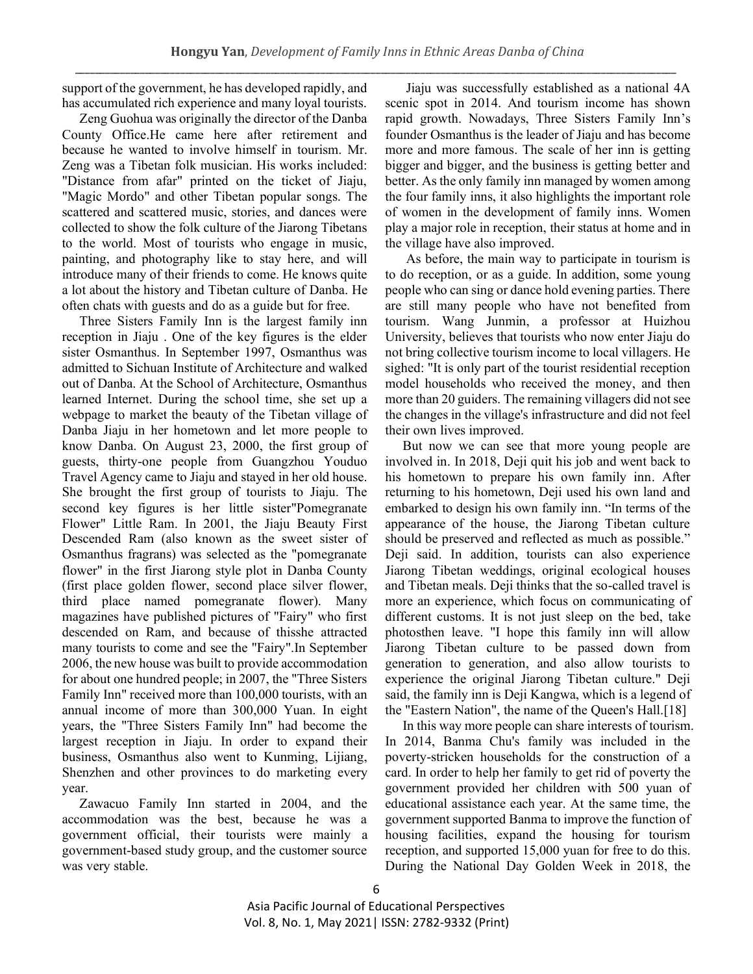support of the government, he has developed rapidly, and has accumulated rich experience and many loyal tourists.

Zeng Guohua was originally the director of the Danba County Office.He came here after retirement and because he wanted to involve himself in tourism. Mr. Zeng was a Tibetan folk musician. His works included: "Distance from afar" printed on the ticket of Jiaju, "Magic Mordo" and other Tibetan popular songs. The scattered and scattered music, stories, and dances were collected to show the folk culture of the Jiarong Tibetans to the world. Most of tourists who engage in music, painting, and photography like to stay here, and will introduce many of their friends to come. He knows quite a lot about the history and Tibetan culture of Danba. He often chats with guests and do as a guide but for free.

Three Sisters Family Inn is the largest family inn reception in Jiaju . One of the key figures is the elder sister Osmanthus. In September 1997, Osmanthus was admitted to Sichuan Institute of Architecture and walked out of Danba. At the School of Architecture, Osmanthus learned Internet. During the school time, she set up a webpage to market the beauty of the Tibetan village of Danba Jiaju in her hometown and let more people to know Danba. On August 23, 2000, the first group of guests, thirty-one people from Guangzhou Youduo Travel Agency came to Jiaju and stayed in her old house. She brought the first group of tourists to Jiaju. The second key figures is her little sister"Pomegranate Flower" Little Ram. In 2001, the Jiaju Beauty First Descended Ram (also known as the sweet sister of Osmanthus fragrans) was selected as the "pomegranate flower" in the first Jiarong style plot in Danba County (first place golden flower, second place silver flower, third place named pomegranate flower). Many magazines have published pictures of "Fairy" who first descended on Ram, and because of thisshe attracted many tourists to come and see the "Fairy".In September 2006, the new house was built to provide accommodation for about one hundred people; in 2007, the "Three Sisters Family Inn" received more than 100,000 tourists, with an annual income of more than 300,000 Yuan. In eight years, the "Three Sisters Family Inn" had become the largest reception in Jiaju. In order to expand their business, Osmanthus also went to Kunming, Lijiang, Shenzhen and other provinces to do marketing every year.

Zawacuo Family Inn started in 2004, and the accommodation was the best, because he was a government official, their tourists were mainly a government-based study group, and the customer source was very stable.

Jiaju was successfully established as a national 4A scenic spot in 2014. And tourism income has shown rapid growth. Nowadays, Three Sisters Family Inn's founder Osmanthus is the leader of Jiaju and has become more and more famous. The scale of her inn is getting bigger and bigger, and the business is getting better and better. As the only family inn managed by women among the four family inns, it also highlights the important role of women in the development of family inns. Women play a major role in reception, their status at home and in the village have also improved.

As before, the main way to participate in tourism is to do reception, or as a guide. In addition, some young people who can sing or dance hold evening parties. There are still many people who have not benefited from tourism. Wang Junmin, a professor at Huizhou University, believes that tourists who now enter Jiaju do not bring collective tourism income to local villagers. He sighed: "It is only part of the tourist residential reception model households who received the money, and then more than 20 guiders. The remaining villagers did not see the changes in the village's infrastructure and did not feel their own lives improved.

But now we can see that more young people are involved in. In 2018, Deji quit his job and went back to his hometown to prepare his own family inn. After returning to his hometown, Deji used his own land and embarked to design his own family inn. "In terms of the appearance of the house, the Jiarong Tibetan culture should be preserved and reflected as much as possible." Deji said. In addition, tourists can also experience Jiarong Tibetan weddings, original ecological houses and Tibetan meals. Deji thinks that the so-called travel is more an experience, which focus on communicating of different customs. It is not just sleep on the bed, take photosthen leave. "I hope this family inn will allow Jiarong Tibetan culture to be passed down from generation to generation, and also allow tourists to experience the original Jiarong Tibetan culture." Deji said, the family inn is Deji Kangwa, which is a legend of the "Eastern Nation", the name of the Queen's Hall.[18]

In this way more people can share interests of tourism. In 2014, Banma Chu's family was included in the poverty-stricken households for the construction of a card. In order to help her family to get rid of poverty the government provided her children with 500 yuan of educational assistance each year. At the same time, the government supported Banma to improve the function of housing facilities, expand the housing for tourism reception, and supported 15,000 yuan for free to do this. During the National Day Golden Week in 2018, the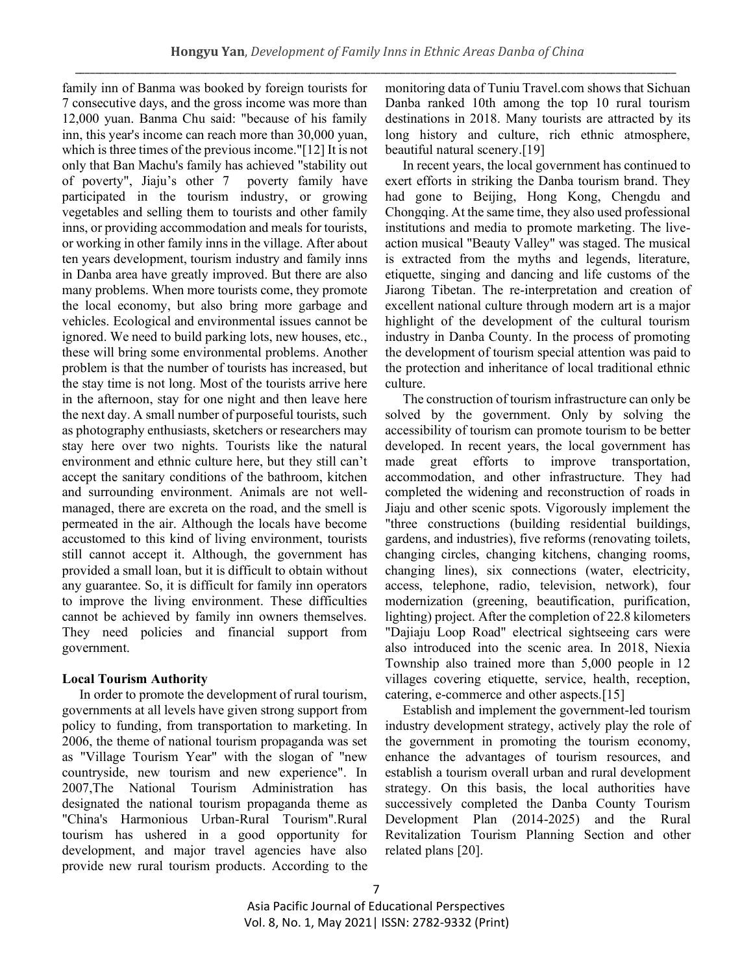family inn of Banma was booked by foreign tourists for 7 consecutive days, and the gross income was more than 12,000 yuan. Banma Chu said: "because of his family inn, this year's income can reach more than 30,000 yuan, which is three times of the previous income."[12] It is not only that Ban Machu's family has achieved "stability out of poverty", Jiaju's other 7 poverty family have participated in the tourism industry, or growing vegetables and selling them to tourists and other family inns, or providing accommodation and meals for tourists, or working in other family inns in the village. After about ten years development, tourism industry and family inns in Danba area have greatly improved. But there are also many problems. When more tourists come, they promote the local economy, but also bring more garbage and vehicles. Ecological and environmental issues cannot be ignored. We need to build parking lots, new houses, etc., these will bring some environmental problems. Another problem is that the number of tourists has increased, but the stay time is not long. Most of the tourists arrive here in the afternoon, stay for one night and then leave here the next day. A small number of purposeful tourists, such as photography enthusiasts, sketchers or researchers may stay here over two nights. Tourists like the natural environment and ethnic culture here, but they still can't accept the sanitary conditions of the bathroom, kitchen and surrounding environment. Animals are not wellmanaged, there are excreta on the road, and the smell is permeated in the air. Although the locals have become accustomed to this kind of living environment, tourists still cannot accept it. Although, the government has provided a small loan, but it is difficult to obtain without any guarantee. So, it is difficult for family inn operators to improve the living environment. These difficulties cannot be achieved by family inn owners themselves. They need policies and financial support from government.

# **Local Tourism Authority**

In order to promote the development of rural tourism, governments at all levels have given strong support from policy to funding, from transportation to marketing. In 2006, the theme of national tourism propaganda was set as "Village Tourism Year" with the slogan of "new countryside, new tourism and new experience". In 2007,The National Tourism Administration has designated the national tourism propaganda theme as "China's Harmonious Urban-Rural Tourism".Rural tourism has ushered in a good opportunity for development, and major travel agencies have also provide new rural tourism products. According to the monitoring data of Tuniu Travel.com shows that Sichuan Danba ranked 10th among the top 10 rural tourism destinations in 2018. Many tourists are attracted by its long history and culture, rich ethnic atmosphere, beautiful natural scenery.[19]

In recent years, the local government has continued to exert efforts in striking the Danba tourism brand. They had gone to Beijing, Hong Kong, Chengdu and Chongqing. At the same time, they also used professional institutions and media to promote marketing. The liveaction musical "Beauty Valley" was staged. The musical is extracted from the myths and legends, literature, etiquette, singing and dancing and life customs of the Jiarong Tibetan. The re-interpretation and creation of excellent national culture through modern art is a major highlight of the development of the cultural tourism industry in Danba County. In the process of promoting the development of tourism special attention was paid to the protection and inheritance of local traditional ethnic culture.

The construction of tourism infrastructure can only be solved by the government. Only by solving the accessibility of tourism can promote tourism to be better developed. In recent years, the local government has made great efforts to improve transportation, accommodation, and other infrastructure. They had completed the widening and reconstruction of roads in Jiaju and other scenic spots. Vigorously implement the "three constructions (building residential buildings, gardens, and industries), five reforms (renovating toilets, changing circles, changing kitchens, changing rooms, changing lines), six connections (water, electricity, access, telephone, radio, television, network), four modernization (greening, beautification, purification, lighting) project. After the completion of 22.8 kilometers "Dajiaju Loop Road" electrical sightseeing cars were also introduced into the scenic area. In 2018, Niexia Township also trained more than 5,000 people in 12 villages covering etiquette, service, health, reception, catering, e-commerce and other aspects.[15]

Establish and implement the government-led tourism industry development strategy, actively play the role of the government in promoting the tourism economy, enhance the advantages of tourism resources, and establish a tourism overall urban and rural development strategy. On this basis, the local authorities have successively completed the Danba County Tourism Development Plan (2014-2025) and the Rural Revitalization Tourism Planning Section and other related plans [20].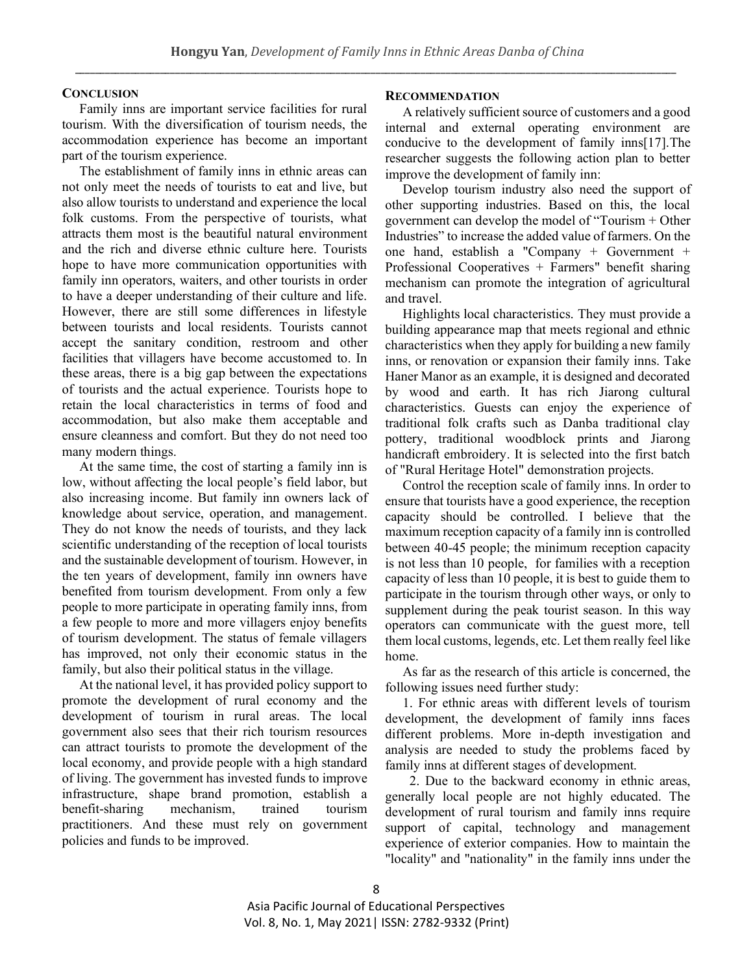## **CONCLUSION**

Family inns are important service facilities for rural tourism. With the diversification of tourism needs, the accommodation experience has become an important part of the tourism experience.

The establishment of family inns in ethnic areas can not only meet the needs of tourists to eat and live, but also allow tourists to understand and experience the local folk customs. From the perspective of tourists, what attracts them most is the beautiful natural environment and the rich and diverse ethnic culture here. Tourists hope to have more communication opportunities with family inn operators, waiters, and other tourists in order to have a deeper understanding of their culture and life. However, there are still some differences in lifestyle between tourists and local residents. Tourists cannot accept the sanitary condition, restroom and other facilities that villagers have become accustomed to. In these areas, there is a big gap between the expectations of tourists and the actual experience. Tourists hope to retain the local characteristics in terms of food and accommodation, but also make them acceptable and ensure cleanness and comfort. But they do not need too many modern things.

At the same time, the cost of starting a family inn is low, without affecting the local people's field labor, but also increasing income. But family inn owners lack of knowledge about service, operation, and management. They do not know the needs of tourists, and they lack scientific understanding of the reception of local tourists and the sustainable development of tourism. However, in the ten years of development, family inn owners have benefited from tourism development. From only a few people to more participate in operating family inns, from a few people to more and more villagers enjoy benefits of tourism development. The status of female villagers has improved, not only their economic status in the family, but also their political status in the village.

At the national level, it has provided policy support to promote the development of rural economy and the development of tourism in rural areas. The local government also sees that their rich tourism resources can attract tourists to promote the development of the local economy, and provide people with a high standard of living. The government has invested funds to improve infrastructure, shape brand promotion, establish a benefit-sharing mechanism, trained tourism practitioners. And these must rely on government policies and funds to be improved.

## **RECOMMENDATION**

A relatively sufficient source of customers and a good internal and external operating environment are conducive to the development of family inns[17].The researcher suggests the following action plan to better improve the development of family inn:

Develop tourism industry also need the support of other supporting industries. Based on this, the local government can develop the model of "Tourism + Other Industries" to increase the added value of farmers. On the one hand, establish a "Company + Government + Professional Cooperatives + Farmers" benefit sharing mechanism can promote the integration of agricultural and travel.

Highlights local characteristics. They must provide a building appearance map that meets regional and ethnic characteristics when they apply for building a new family inns, or renovation or expansion their family inns. Take Haner Manor as an example, it is designed and decorated by wood and earth. It has rich Jiarong cultural characteristics. Guests can enjoy the experience of traditional folk crafts such as Danba traditional clay pottery, traditional woodblock prints and Jiarong handicraft embroidery. It is selected into the first batch of "Rural Heritage Hotel" demonstration projects.

Control the reception scale of family inns. In order to ensure that tourists have a good experience, the reception capacity should be controlled. I believe that the maximum reception capacity of a family inn is controlled between 40-45 people; the minimum reception capacity is not less than 10 people, for families with a reception capacity of less than 10 people, it is best to guide them to participate in the tourism through other ways, or only to supplement during the peak tourist season. In this way operators can communicate with the guest more, tell them local customs, legends, etc. Let them really feel like home.

As far as the research of this article is concerned, the following issues need further study:

1. For ethnic areas with different levels of tourism development, the development of family inns faces different problems. More in-depth investigation and analysis are needed to study the problems faced by family inns at different stages of development.

 2. Due to the backward economy in ethnic areas, generally local people are not highly educated. The development of rural tourism and family inns require support of capital, technology and management experience of exterior companies. How to maintain the "locality" and "nationality" in the family inns under the